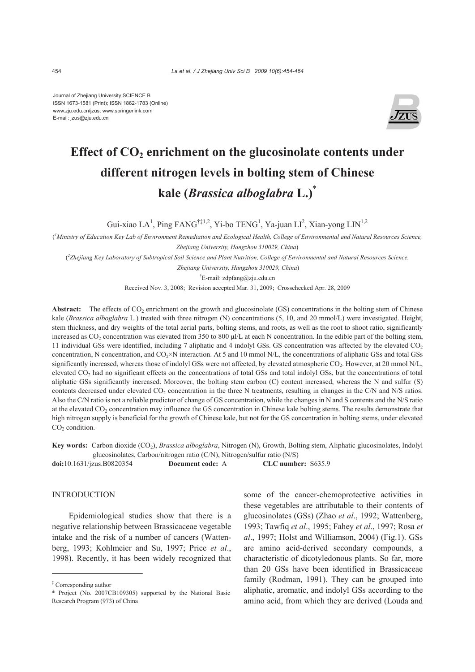Journal of Zhejiang University SCIENCE B ISSN 1673-1581 (Print); ISSN 1862-1783 (Online) www.zju.edu.cn/jzus; www.springerlink.com E-mail: jzus@zju.edu.cn



# Effect of CO<sub>2</sub> enrichment on the glucosinolate contents under **different nitrogen levels in bolting stem of Chinese kale (***Brassica alboglabra* **L.)**\*

Gui-xiao LA<sup>1</sup>, Ping FANG<sup>†‡1,2</sup>, Yi-bo TENG<sup>1</sup>, Ya-juan LI<sup>2</sup>, Xian-yong LIN<sup>1,2</sup>

( *1 Ministry of Education Key Lab of Environment Remediation and Ecological Health, College of Environmental and Natural Resources Science, Zhejiang University, Hangzhou 310029, China*)

( *2 Zhejiang Key Laboratory of Subtropical Soil Science and Plant Nutrition, College of Environmental and Natural Resources Science,* 

 *Zhejiang University, Hangzhou 310029, China*)

† E-mail: zdpfang@zju.edu.cn

Received Nov. 3, 2008; Revision accepted Mar. 31, 2009; Crosschecked Apr. 28, 2009

Abstract: The effects of CO<sub>2</sub> enrichment on the growth and glucosinolate (GS) concentrations in the bolting stem of Chinese kale (*Brassica alboglabra* L*.*) treated with three nitrogen (N) concentrations (5, 10, and 20 mmol/L) were investigated. Height, stem thickness, and dry weights of the total aerial parts, bolting stems, and roots, as well as the root to shoot ratio, significantly increased as CO2 concentration was elevated from 350 to 800 μl/L at each N concentration. In the edible part of the bolting stem, 11 individual GSs were identified, including 7 aliphatic and 4 indolyl GSs. GS concentration was affected by the elevated CO2 concentration, N concentration, and CO<sub>2</sub>×N interaction. At 5 and 10 mmol N/L, the concentrations of aliphatic GSs and total GSs significantly increased, whereas those of indolyl GSs were not affected, by elevated atmospheric CO<sub>2</sub>. However, at 20 mmol N/L, elevated CO<sub>2</sub> had no significant effects on the concentrations of total GSs and total indolyl GSs, but the concentrations of total aliphatic GSs significantly increased. Moreover, the bolting stem carbon (C) content increased, whereas the N and sulfur (S) contents decreased under elevated CO<sub>2</sub> concentration in the three N treatments, resulting in changes in the C/N and N/S ratios. Also the C/N ratio is not a reliable predictor of change of GS concentration, while the changes in N and S contents and the N/S ratio at the elevated CO<sub>2</sub> concentration may influence the GS concentration in Chinese kale bolting stems. The results demonstrate that high nitrogen supply is beneficial for the growth of Chinese kale, but not for the GS concentration in bolting stems, under elevated  $CO<sub>2</sub>$  condition.

**Key words:** Carbon dioxide (CO2), *Brassica alboglabra*, Nitrogen (N), Growth, Bolting stem, Aliphatic glucosinolates, Indolyl glucosinolates, Carbon/nitrogen ratio (C/N), Nitrogen/sulfur ratio (N/S)

**doi:**10.1631/jzus.B0820354 **Document code:** A **CLC number:** S635.9

## INTRODUCTION

Epidemiological studies show that there is a negative relationship between Brassicaceae vegetable intake and the risk of a number of cancers (Wattenberg, 1993; Kohlmeier and Su, 1997; Price *et al*., 1998). Recently, it has been widely recognized that some of the cancer-chemoprotective activities in these vegetables are attributable to their contents of glucosinolates (GSs) (Zhao *et al*., 1992; Wattenberg, 1993; Tawfiq *et al*., 1995; Fahey *et al*., 1997; Rosa *et al*., 1997; Holst and Williamson, 2004) (Fig.1). GSs are amino acid-derived secondary compounds, a characteristic of dicotyledonous plants. So far, more than 20 GSs have been identified in Brassicaceae family (Rodman, 1991). They can be grouped into aliphatic, aromatic, and indolyl GSs according to the amino acid, from which they are derived (Louda and

<sup>‡</sup> Corresponding author

<sup>\*</sup> Project (No. 2007CB109305) supported by the National Basic Research Program (973) of China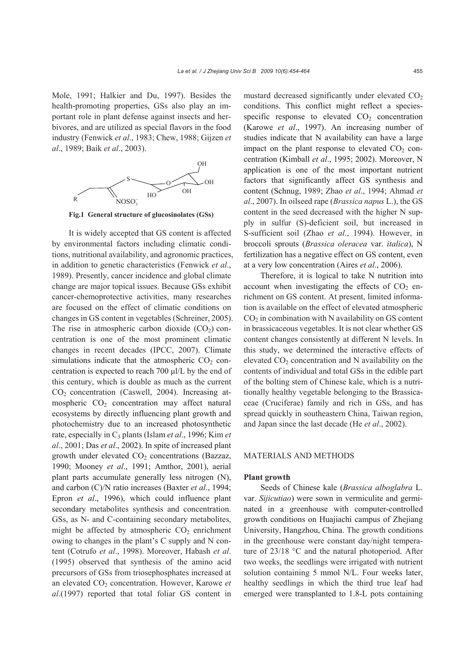Mole, 1991; Halkier and Du, 1997). Besides the health-promoting properties, GSs also play an important role in plant defense against insects and herbivores, and are utilized as special flavors in the food industry (Fenwick *et al*., 1983; Chew, 1988; Gijzen *et al*., 1989; Baik *et al*., 2003).



**Fig.1 General structure of glucosinolates (GSs)**

It is widely accepted that GS content is affected by environmental factors including climatic conditions, nutritional availability, and agronomic practices, in addition to genetic characteristics (Fenwick *et al*., 1989). Presently, cancer incidence and global climate change are major topical issues. Because GSs exhibit cancer-chemoprotective activities, many researches are focused on the effect of climatic conditions on changes in GS content in vegetables (Schreiner, 2005). The rise in atmospheric carbon dioxide  $(CO<sub>2</sub>)$  concentration is one of the most prominent climatic changes in recent decades (IPCC, 2007). Climate simulations indicate that the atmospheric  $CO<sub>2</sub>$  concentration is expected to reach 700 μl/L by the end of this century, which is double as much as the current  $CO<sub>2</sub>$  concentration (Caswell, 2004). Increasing atmospheric  $CO<sub>2</sub>$  concentration may affect natural ecosystems by directly influencing plant growth and photochemistry due to an increased photosynthetic rate, especially in C3 plants (Islam *et al*., 1996; Kim *et al*., 2001; Das *et al*., 2002). In spite of increased plant growth under elevated  $CO<sub>2</sub>$  concentrations (Bazzaz, 1990; Mooney *et al*., 1991; Amthor, 2001), aerial plant parts accumulate generally less nitrogen (N), and carbon (C)/N ratio increases (Baxter *et al*., 1994; Epron *et al*., 1996), which could influence plant secondary metabolites synthesis and concentration. GSs, as N- and C-containing secondary metabolites, might be affected by atmospheric  $CO<sub>2</sub>$  enrichment owing to changes in the plant's C supply and N content (Cotrufo *et al*., 1998). Moreover, Habash *et al*. (1995) observed that synthesis of the amino acid precursors of GSs from triosephosphates increased at an elevated CO<sub>2</sub> concentration. However, Karowe et *al*.(1997) reported that total foliar GS content in

mustard decreased significantly under elevated  $CO<sub>2</sub>$ conditions. This conflict might reflect a speciesspecific response to elevated  $CO<sub>2</sub>$  concentration (Karowe *et al*., 1997). An increasing number of studies indicate that N availability can have a large impact on the plant response to elevated  $CO<sub>2</sub>$  concentration (Kimball *et al*., 1995; 2002). Moreover, N application is one of the most important nutrient factors that significantly affect GS synthesis and content (Schnug, 1989; Zhao *et al*., 1994; Ahmad *et al*., 2007). In oilseed rape (*Brassica napus* L.), the GS content in the seed decreased with the higher N supply in sulfur (S)-deficient soil, but increased in S-sufficient soil (Zhao *et al*., 1994). However, in broccoli sprouts (*Brassica oleracea* var. *italica*), N fertilization has a negative effect on GS content, even at a very low concentration (Aires *et al*., 2006).

Therefore, it is logical to take N nutrition into account when investigating the effects of  $CO<sub>2</sub>$  enrichment on GS content. At present, limited information is available on the effect of elevated atmospheric  $CO<sub>2</sub>$  in combination with N availability on GS content in brassicaceous vegetables. It is not clear whether GS content changes consistently at different N levels. In this study, we determined the interactive effects of elevated  $CO<sub>2</sub>$  concentration and N availability on the contents of individual and total GSs in the edible part of the bolting stem of Chinese kale, which is a nutritionally healthy vegetable belonging to the Brassicaceae (Cruciferae) family and rich in GSs, and has spread quickly in southeastern China, Taiwan region, and Japan since the last decade (He *et al*., 2002).

# MATERIALS AND METHODS

## **Plant growth**

Seeds of Chinese kale (*Brassica alboglabra* L. var. *Sijicutiao*) were sown in vermiculite and germinated in a greenhouse with computer-controlled growth conditions on Huajiachi campus of Zhejiang University, Hangzhou, China. The growth conditions in the greenhouse were constant day/night temperature of 23/18 °C and the natural photoperiod. After two weeks, the seedlings were irrigated with nutrient solution containing 5 mmol N/L. Four weeks later, healthy seedlings in which the third true leaf had emerged were transplanted to 1.8-L pots containing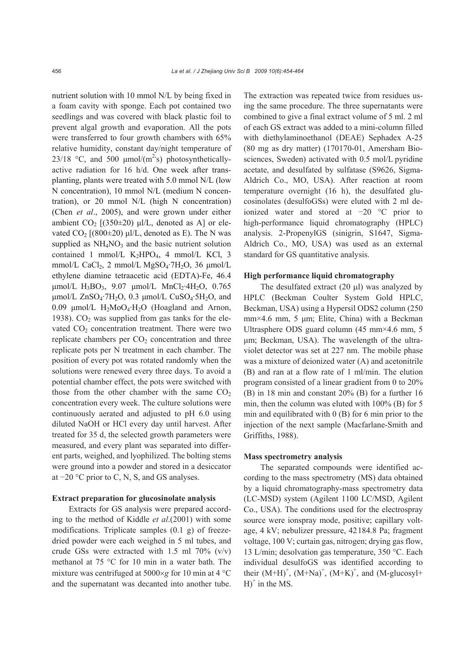nutrient solution with 10 mmol N/L by being fixed in a foam cavity with sponge. Each pot contained two seedlings and was covered with black plastic foil to prevent algal growth and evaporation. All the pots were transferred to four growth chambers with 65% relative humidity, constant day/night temperature of 23/18 °C, and 500 μmol/(m<sup>2</sup>s) photosyntheticallyactive radiation for 16 h/d. One week after transplanting, plants were treated with 5.0 mmol N/L (low N concentration), 10 mmol N/L (medium N concentration), or 20 mmol N/L (high N concentration) (Chen *et al*., 2005), and were grown under either ambient  $CO_2$  [(350 $\pm$ 20) μl/L, denoted as A] or elevated  $CO_2$  [(800 $\pm$ 20) μl/L, denoted as E). The N was supplied as  $NH<sub>4</sub>NO<sub>3</sub>$  and the basic nutrient solution contained 1 mmol/L  $K_2HPO_4$ , 4 mmol/L KCl, 3 mmol/L CaCl<sub>2</sub>, 2 mmol/L MgSO<sub>4</sub>·7H<sub>2</sub>O, 36  $\mu$ mol/L ethylene diamine tetraacetic acid (EDTA)-Fe, 46.4  $\mu$ mol/L H<sub>3</sub>BO<sub>3</sub>, 9.07  $\mu$ mol/L MnCl<sub>2</sub>·4H<sub>2</sub>O, 0.765 μmol/L ZnSO<sub>4</sub>·7H<sub>2</sub>O, 0.3 μmol/L CuSO<sub>4</sub>·5H<sub>2</sub>O, and 0.09  $\mu$ mol/L H<sub>2</sub>MoO<sub>4</sub>·H<sub>2</sub>O (Hoagland and Arnon, 1938).  $CO<sub>2</sub>$  was supplied from gas tanks for the elevated  $CO<sub>2</sub>$  concentration treatment. There were two replicate chambers per  $CO<sub>2</sub>$  concentration and three replicate pots per N treatment in each chamber. The position of every pot was rotated randomly when the solutions were renewed every three days. To avoid a potential chamber effect, the pots were switched with those from the other chamber with the same  $CO<sub>2</sub>$ concentration every week. The culture solutions were continuously aerated and adjusted to pH 6.0 using diluted NaOH or HCl every day until harvest. After treated for 35 d, the selected growth parameters were measured, and every plant was separated into different parts, weighed, and lyophilized. The bolting stems were ground into a powder and stored in a desiccator at −20 °C prior to C, N, S, and GS analyses.

## **Extract preparation for glucosinolate analysis**

Extracts for GS analysis were prepared according to the method of Kiddle *et al*.(2001) with some modifications. Triplicate samples (0.1 g) of freezedried powder were each weighed in 5 ml tubes, and crude GSs were extracted with 1.5 ml  $70\%$  (v/v) methanol at 75 °C for 10 min in a water bath. The mixture was centrifuged at 5000×*g* for 10 min at 4 °C and the supernatant was decanted into another tube.

The extraction was repeated twice from residues using the same procedure. The three supernatants were combined to give a final extract volume of 5 ml. 2 ml of each GS extract was added to a mini-column filled with diethylaminoethanol (DEAE) Sephadex A-25 (80 mg as dry matter) (170170-01, Amersham Biosciences, Sweden) activated with 0.5 mol/L pyridine acetate, and desulfated by sulfatase (S9626, Sigma-Aldrich Co., MO, USA). After reaction at room temperature overnight (16 h), the desulfated glucosinolates (desulfoGSs) were eluted with 2 ml deionized water and stored at −20 °C prior to high-performance liquid chromatography (HPLC) analysis. 2-PropenylGS (sinigrin, S1647, Sigma-Aldrich Co., MO, USA) was used as an external standard for GS quantitative analysis.

## **High performance liquid chromatography**

The desulfated extract (20 μl) was analyzed by HPLC (Beckman Coulter System Gold HPLC, Beckman, USA) using a Hypersil ODS2 column (250 mm×4.6 mm, 5 μm; Elite, China) with a Beckman Ultrasphere ODS guard column (45 mm×4.6 mm, 5 μm; Beckman, USA). The wavelength of the ultraviolet detector was set at 227 nm. The mobile phase was a mixture of deionized water (A) and acetonitrile (B) and ran at a flow rate of 1 ml/min. The elution program consisted of a linear gradient from 0 to 20% (B) in 18 min and constant 20% (B) for a further 16 min, then the column was eluted with 100% (B) for 5 min and equilibrated with 0 (B) for 6 min prior to the injection of the next sample (Macfarlane-Smith and Griffiths, 1988).

#### **Mass spectrometry analysis**

The separated compounds were identified according to the mass spectrometry (MS) data obtained by a liquid chromatography-mass spectrometry data (LC-MSD) system (Agilent 1100 LC/MSD, Agilent Co., USA). The conditions used for the electrospray source were ionspray mode, positive; capillary voltage, 4 kV; nebulizer pressure, 42184.8 Pa; fragment voltage, 100 V; curtain gas, nitrogen; drying gas flow, 13 L/min; desolvation gas temperature, 350 °C. Each individual desulfoGS was identified according to their  $(M+H)^{+}$ ,  $(M+Na)^{+}$ ,  $(M+K)^{+}$ , and  $(M-glucosyl+$  $H$ <sup>+</sup> in the MS.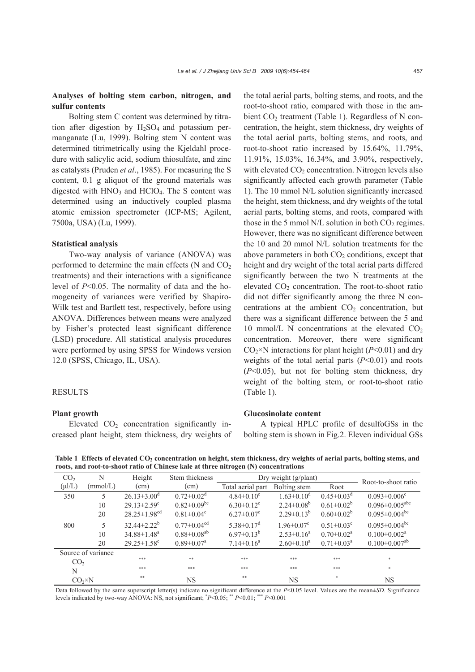# **Analyses of bolting stem carbon, nitrogen, and sulfur contents**

Bolting stem C content was determined by titration after digestion by  $H_2SO_4$  and potassium permanganate (Lu, 1999). Bolting stem N content was determined titrimetrically using the Kjeldahl procedure with salicylic acid, sodium thiosulfate, and zinc as catalysts (Pruden *et al*., 1985). For measuring the S content, 0.1 g aliquot of the ground materials was digested with  $HNO<sub>3</sub>$  and  $HClO<sub>4</sub>$ . The S content was determined using an inductively coupled plasma atomic emission spectrometer (ICP-MS; Agilent, 7500a, USA) (Lu, 1999).

## **Statistical analysis**

Two-way analysis of variance (ANOVA) was performed to determine the main effects (N and  $CO<sub>2</sub>$ treatments) and their interactions with a significance level of *P*<0.05. The normality of data and the homogeneity of variances were verified by Shapiro-Wilk test and Bartlett test, respectively, before using ANOVA. Differences between means were analyzed by Fisher's protected least significant difference (LSD) procedure. All statistical analysis procedures were performed by using SPSS for Windows version 12.0 (SPSS, Chicago, IL, USA).

## **RESULTS**

#### **Plant growth**

Elevated  $CO<sub>2</sub>$  concentration significantly increased plant height, stem thickness, dry weights of the total aerial parts, bolting stems, and roots, and the root-to-shoot ratio, compared with those in the ambient  $CO<sub>2</sub>$  treatment (Table 1). Regardless of N concentration, the height, stem thickness, dry weights of the total aerial parts, bolting stems, and roots, and root-to-shoot ratio increased by 15.64%, 11.79%, 11.91%, 15.03%, 16.34%, and 3.90%, respectively, with elevated  $CO<sub>2</sub>$  concentration. Nitrogen levels also significantly affected each growth parameter (Table 1). The 10 mmol N/L solution significantly increased the height, stem thickness, and dry weights of the total aerial parts, bolting stems, and roots, compared with those in the 5 mmol N/L solution in both  $CO<sub>2</sub>$  regimes. However, there was no significant difference between the 10 and 20 mmol N/L solution treatments for the above parameters in both  $CO<sub>2</sub>$  conditions, except that height and dry weight of the total aerial parts differed significantly between the two N treatments at the elevated  $CO<sub>2</sub>$  concentration. The root-to-shoot ratio did not differ significantly among the three N concentrations at the ambient  $CO<sub>2</sub>$  concentration, but there was a significant difference between the 5 and 10 mmol/L N concentrations at the elevated  $CO<sub>2</sub>$ concentration. Moreover, there were significant  $CO<sub>2</sub>×N$  interactions for plant height ( $P<0.01$ ) and dry weights of the total aerial parts (*P*<0.01) and roots (*P*<0.05), but not for bolting stem thickness, dry weight of the bolting stem, or root-to-shoot ratio (Table 1).

## **Glucosinolate content**

A typical HPLC profile of desulfoGSs in the bolting stem is shown in Fig.2. Eleven individual GSs

Table 1 Effects of elevated CO<sub>2</sub> concentration on height, stem thickness, dry weights of aerial parts, bolting stems, and **roots, and root-to-shoot ratio of Chinese kale at three nitrogen (N) concentrations**

| CO <sub>2</sub>    | N        | Height                         | Stem thickness                |                              | Dry weight (g/plant)         | Root-to-shoot ratio          |                                  |
|--------------------|----------|--------------------------------|-------------------------------|------------------------------|------------------------------|------------------------------|----------------------------------|
| $(\mu l/L)$        | (mmol/L) | $\text{(cm)}$                  | (cm)                          | Total aerial part            | Bolting stem                 | Root                         |                                  |
| 350                | 5        | $26.13 \pm 3.00$ <sup>d</sup>  | $0.72 \pm 0.02$ <sup>d</sup>  | $4.84 \pm 0.10^e$            | $1.63 \pm 0.10^d$            | $0.45 \pm 0.03$ <sup>d</sup> | $0.093 \pm 0.006$ <sup>c</sup>   |
|                    | 10       | $29.13 \pm 2.59$ <sup>c</sup>  | $0.82 \pm 0.09$ <sup>bc</sup> | $6.30 \pm 0.12$ <sup>c</sup> | $2.24 \pm 0.08^b$            | $0.61 \pm 0.02^b$            | $0.096 \pm 0.005$ <sup>abc</sup> |
|                    | 20       | $28.25 \pm 1.98$ <sup>cd</sup> | $0.81 \pm 0.04$ <sup>c</sup>  | $6.27 \pm 0.07$ <sup>c</sup> | $2.29\pm0.13^{b}$            | $0.60 \pm 0.02^b$            | $0.095 \pm 0.004$ <sup>bc</sup>  |
| 800                | 5        | $32.44 \pm 2.22^b$             | $0.77 \pm 0.04$ <sup>cd</sup> | $5.38 \pm 0.17$ <sup>d</sup> | $1.96 \pm 0.07$ <sup>c</sup> | $0.51 \pm 0.03$ <sup>c</sup> | $0.095 \pm 0.004$ bc             |
|                    | 10       | $34.88 \pm 1.48$ <sup>a</sup>  | $0.88 \pm 0.08$ <sup>ab</sup> | $6.97\pm0.13^{b}$            | $2.53\pm0.16^a$              | $0.70 \pm 0.02^a$            | $0.100 \pm 0.002$ <sup>a</sup>   |
|                    | 20       | $29.25 \pm 1.58$ <sup>c</sup>  | $0.89 \pm 0.07$ <sup>a</sup>  | $7.14 \pm 0.16^a$            | $2.60 \pm 0.10^a$            | $0.71 \pm 0.03^{\text{a}}$   | $0.100 \pm 0.007$ <sup>ab</sup>  |
| Source of variance |          |                                |                               |                              |                              |                              |                                  |
| CO <sub>2</sub>    |          | ***                            | **                            | ***                          | ***                          | ***                          | $\frac{1}{2}$                    |
| N                  |          | ***                            | ***                           | ***                          | ***                          | ***                          | $\frac{1}{2}$                    |
| $CO_2 \times N$    |          | $* *$                          | <b>NS</b>                     | **                           | <b>NS</b>                    | $\ast$                       | NS                               |

Data followed by the same superscript letter(s) indicate no significant difference at the *P*<0.05 level. Values are the mean±*SD*. Significance levels indicated by two-way ANOVA: NS, not significant; \* *P*<0.05; \*\* *P*<0.01; \*\*\* *P*<0.001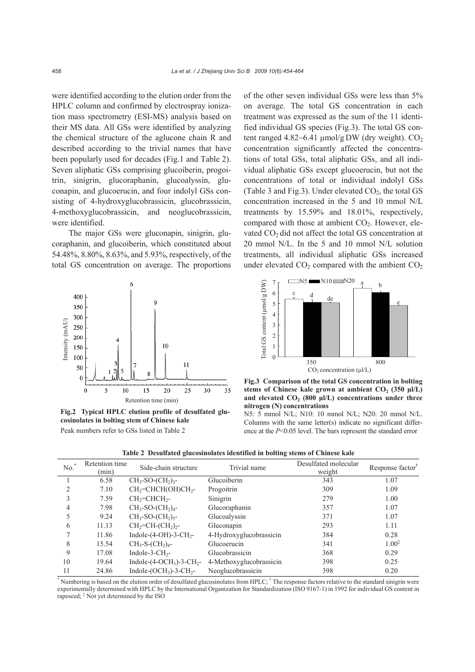were identified according to the elution order from the HPLC column and confirmed by electrospray ionization mass spectrometry (ESI-MS) analysis based on their MS data. All GSs were identified by analyzing the chemical structure of the aglucone chain R and described according to the trivial names that have been popularly used for decades (Fig.1 and Table 2). Seven aliphatic GSs comprising glucoiberin, progoitrin, sinigrin, glucoraphanin, glucoalyssin, gluconapin, and glucoerucin, and four indolyl GSs consisting of 4-hydroxyglucobrassicin, glucobrassicin, 4-methoxyglucobrassicin, and neoglucobrassicin, were identified.

The major GSs were gluconapin, sinigrin, glucoraphanin, and glucoiberin, which constituted about 54.48%, 8.80%, 8.63%, and 5.93%, respectively, of the total GS concentration on average. The proportions



**Fig.2 Typical HPLC elution profile of desulfated glucosinolates in bolting stem of Chinese kale**  Peak numbers refer to GSs listed in Table 2

of the other seven individual GSs were less than 5% on average. The total GS concentration in each treatment was expressed as the sum of the 11 identified individual GS species (Fig.3). The total GS content ranged  $4.82 \sim 6.41$  μmol/g DW (dry weight). CO<sub>2</sub> concentration significantly affected the concentrations of total GSs, total aliphatic GSs, and all individual aliphatic GSs except glucoerucin, but not the concentrations of total or individual indolyl GSs (Table 3 and Fig.3). Under elevated  $CO<sub>2</sub>$ , the total GS concentration increased in the 5 and 10 mmol N/L treatments by 15.59% and 18.01%, respectively, compared with those at ambient  $CO<sub>2</sub>$ . However, elevated  $CO<sub>2</sub>$  did not affect the total GS concentration at 20 mmol N/L. In the 5 and 10 mmol N/L solution treatments, all individual aliphatic GSs increased under elevated  $CO<sub>2</sub>$  compared with the ambient  $CO<sub>2</sub>$ 





N5: 5 mmol N/L; N10: 10 mmol N/L; N20: 20 mmol N/L. Columns with the same letter(s) indicate no significant difference at the *P*<0.05 level. The bars represent the standard error

| No. | Retention time<br>(min) | Side-chain structure                            | Trivial name            | Desulfated molecular<br>weight | Response factor <sup>†</sup> |
|-----|-------------------------|-------------------------------------------------|-------------------------|--------------------------------|------------------------------|
|     | 6.58                    | $CH_3$ -SO- $(CH_2)_3$ -                        | Glucoiberin             | 343                            | 1.07                         |
|     | 7.10                    | $CH2=CHCH(OH)CH2$ -                             | Progoitrin              | 309                            | 1.09                         |
|     | 7.59                    | $CH2=CHCH2$ -                                   | Sinigrin                | 279                            | 1.00                         |
| 4   | 7.98                    | $CH_3$ -SO- $(CH_2)_4$ -                        | Glucoraphanin           | 357                            | 1.07                         |
|     | 9.24                    | $CH_3$ -SO- $(CH_2)_{5}$ -                      | Glucoalyssin            | 371                            | 1.07                         |
| 6   | 11.13                   | $CH_2=CH-(CH_2)_2$ -                            | Gluconapin              | 293                            | 1.11                         |
|     | 11.86                   | Indole- $(4$ -OH $)-3$ -CH <sub>2</sub> -       | 4-Hydroxyglucobrassicin | 384                            | 0.28                         |
| 8   | 15.54                   | $CH_3-S-(CH_2)4$ -                              | Glucoerucin             | 341                            | $1.00^{x}$                   |
| 9   | 17.08                   | Indole-3- $CH2$ -                               | Glucobrassicin          | 368                            | 0.29                         |
| 10  | 19.64                   | Indole- $(4\text{-}OCH_3)$ -3-CH <sub>2</sub> - | 4-Methoxyglucobrassicin | 398                            | 0.25                         |
| 11  | 24.86                   | Indole- $(OCH3)$ -3-CH <sub>2</sub> -           | Neoglucobrassicin       | 398                            | 0.20                         |

**Table 2 Desulfated glucosinolates identified in bolting stems of Chinese kale**

\* Numbering is based on the elution order of desulfated glucosinolates from HPLC; † The response factors relative to the standard sinigrin were experimentally determined with HPLC by the International Organization for Standardization (ISO 9167-1) in 1992 for individual GS content in rapeseed; ‡ Not yet determined by the ISO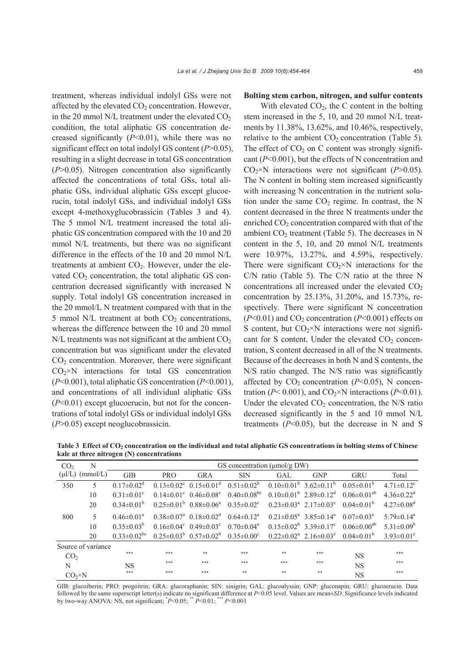treatment, whereas individual indolyl GSs were not affected by the elevated  $CO<sub>2</sub>$  concentration. However, in the 20 mmol N/L treatment under the elevated  $CO<sub>2</sub>$ condition, the total aliphatic GS concentration decreased significantly  $(P<0.01)$ , while there was no significant effect on total indolyl GS content (*P*>0.05), resulting in a slight decrease in total GS concentration (*P*>0.05). Nitrogen concentration also significantly affected the concentrations of total GSs, total aliphatic GSs, individual aliphatic GSs except glucoerucin, total indolyl GSs, and individual indolyl GSs except 4-methoxyglucobrassicin (Tables 3 and 4). The 5 mmol N/L treatment increased the total aliphatic GS concentration compared with the 10 and 20 mmol N/L treatments, but there was no significant difference in the effects of the 10 and 20 mmol N/L treatments at ambient  $CO<sub>2</sub>$ . However, under the elevated  $CO<sub>2</sub>$  concentration, the total aliphatic GS concentration decreased significantly with increased N supply. Total indolyl GS concentration increased in the 20 mmol/L N treatment compared with that in the 5 mmol N/L treatment at both  $CO<sub>2</sub>$  concentrations, whereas the difference between the 10 and 20 mmol  $N/L$  treatments was not significant at the ambient  $CO<sub>2</sub>$ concentration but was significant under the elevated  $CO<sub>2</sub>$  concentration. Moreover, there were significant  $CO<sub>2</sub>×N$  interactions for total GS concentration (*P*<0.001), total aliphatic GS concentration (*P*<0.001), and concentrations of all individual aliphatic GSs (*P*<0.01) except glucoerucin, but not for the concentrations of total indolyl GSs or individual indolyl GSs (*P*>0.05) except neoglucobrassicin.

#### **Bolting stem carbon, nitrogen, and sulfur contents**

With elevated  $CO<sub>2</sub>$ , the C content in the bolting stem increased in the 5, 10, and 20 mmol N/L treatments by 11.38%, 13.62%, and 10.46%, respectively, relative to the ambient  $CO<sub>2</sub>$  concentration (Table 5). The effect of  $CO<sub>2</sub>$  on C content was strongly significant (*P*<0.001), but the effects of N concentration and  $CO<sub>2</sub>×N$  interactions were not significant (*P*>0.05). The N content in bolting stem increased significantly with increasing N concentration in the nutrient solution under the same  $CO<sub>2</sub>$  regime. In contrast, the N content decreased in the three N treatments under the enriched  $CO<sub>2</sub>$  concentration compared with that of the ambient  $CO<sub>2</sub>$  treatment (Table 5). The decreases in N content in the 5, 10, and 20 mmol N/L treatments were 10.97%, 13.27%, and 4.59%, respectively. There were significant  $CO<sub>2</sub>×N$  interactions for the C/N ratio (Table 5). The C/N ratio at the three N concentrations all increased under the elevated  $CO<sub>2</sub>$ concentration by 25.13%, 31.20%, and 15.73%, respectively. There were significant N concentration  $(P<0.01)$  and CO<sub>2</sub> concentration  $(P<0.001)$  effects on S content, but  $CO<sub>2</sub>×N$  interactions were not significant for S content. Under the elevated  $CO<sub>2</sub>$  concentration, S content decreased in all of the N treatments. Because of the decreases in both N and S contents, the N/S ratio changed. The N/S ratio was significantly affected by  $CO<sub>2</sub>$  concentration ( $P<0.05$ ), N concentration ( $P < 0.001$ ), and CO<sub>2</sub>×N interactions ( $P < 0.01$ ). Under the elevated  $CO<sub>2</sub>$  concentration, the N/S ratio decreased significantly in the 5 and 10 mmol N/L treatments  $(P<0.05)$ , but the decrease in N and S

| CO <sub>2</sub>    | N                    | GS concentration ( $\mu$ mol/g DW) |            |                                                       |                               |                                     |                                                         |                               |                              |
|--------------------|----------------------|------------------------------------|------------|-------------------------------------------------------|-------------------------------|-------------------------------------|---------------------------------------------------------|-------------------------------|------------------------------|
|                    | $(\mu l/L)$ (mmol/L) | <b>GIB</b>                         | <b>PRO</b> | GRA                                                   | <b>SIN</b>                    | GAL.                                | <b>GNP</b>                                              | <b>GRU</b>                    | Total                        |
| 350                | 5                    | $0.17 \pm 0.02^d$                  |            | $0.13 \pm 0.02^c$ $0.15 \pm 0.01^d$                   | $0.51 \pm 0.02^b$             |                                     | $0.10\pm0.01^{\rm b}$ 3.62 $\pm0.11^{\rm b}$            | $0.05 \pm 0.01^b$             | $4.71 \pm 0.12$ <sup>c</sup> |
|                    | 10                   | $0.31 \pm 0.01$ <sup>c</sup>       |            | $0.14 \pm 0.01^{\circ}$ $0.46 \pm 0.08^{\circ}$       | $0.40 \pm 0.08$ <sup>bc</sup> |                                     | $0.10\pm0.01^{\rm b}$ 2.89 $\pm0.12^{\rm d}$            | 0.06 $\pm$ 0.01 <sup>ab</sup> | $4.36 \pm 0.22$ <sup>d</sup> |
|                    | 20                   | $0.34 \pm 0.01^b$                  |            | $0.25 \pm 0.01^b$ 0.88 $\pm 0.06^a$                   | $0.35 \pm 0.02$ <sup>c</sup>  | $0.23 \pm 0.03^a$ $2.17 \pm 0.03^e$ |                                                         | 0.04 $\pm$ 0.01 <sup>b</sup>  | $4.27 \pm 0.08$ <sup>d</sup> |
| 800                |                      | $0.46 \pm 0.01^a$                  |            | $0.38 \pm 0.07^{\text{a}}$ $0.18 \pm 0.02^{\text{d}}$ | $0.64 \pm 0.12^a$             |                                     | $0.21 \pm 0.05^{\text{a}}$ 3.85 $\pm$ 0.14 <sup>a</sup> | 0.07 $\pm$ 0.03 <sup>a</sup>  | $5.79 \pm 0.14$ <sup>a</sup> |
|                    | 10                   | $0.35 \pm 0.03^b$                  |            | $0.16 \pm 0.04$ ° $0.49 \pm 0.03$ °                   | $0.70 \pm 0.04^a$             |                                     | $0.15\pm0.02^b$ 3.39 $\pm$ 0.17 <sup>c</sup>            | 0.06 $\pm$ 0.00 <sup>ab</sup> | $5.31 \pm 0.09^b$            |
|                    | 20                   | $0.33 \pm 0.02$ <sup>bc</sup>      |            | $0.25 \pm 0.03^b$ $0.57 \pm 0.02^b$                   | $0.35 \pm 0.00^{\circ}$       |                                     | $0.22 \pm 0.02^{\text{a}}$ 2.16 $\pm 0.03^{\text{e}}$   | $0.04 \pm 0.01^b$             | $3.93 \pm 0.01^e$            |
| Source of variance |                      |                                    |            |                                                       |                               |                                     |                                                         |                               |                              |
| CO <sub>2</sub>    |                      | ***                                | ***        | **                                                    | ***                           | **                                  | ***                                                     | <b>NS</b>                     | ***                          |
| N                  |                      | NS                                 | ***        | ***                                                   | ***                           | ***                                 | ***                                                     | <b>NS</b>                     | ***                          |
| CO <sub>2</sub> ×N |                      | ***                                | ***        | ***                                                   | **                            | **                                  | **                                                      | <b>NS</b>                     | ***                          |

Table 3 Effect of CO<sub>2</sub> concentration on the individual and total aliphatic GS concentrations in bolting stems of Chinese **kale at three nitrogen (N) concentrations**

GIB: glucoiberin; PRO: progoitrin; GRA: glucoraphanin; SIN: sinigrin; GAL: glucoalyssin; GNP: gluconapin; GRU: glucoerucin. Data followed by the same superscript letter(s) indicate no significant difference at *P*<0.05 level. Values are mean±*SD*. Significance levels indicated by two-way ANOVA: NS, not significant; \* *P*<0.05; \*\* *P*<0.01; \*\*\* *P*<0.001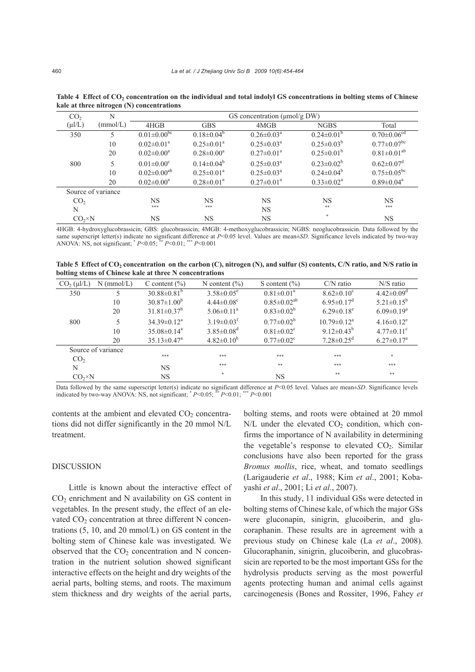| CO <sub>2</sub> | N                  | GS concentration $(\mu mol/gDW)$ |                   |                            |                   |                               |  |  |
|-----------------|--------------------|----------------------------------|-------------------|----------------------------|-------------------|-------------------------------|--|--|
| $(\mu I/L)$     | (mmol/L)           | 4HGB                             | <b>GBS</b>        | 4MGB                       | <b>NGBS</b>       | Total                         |  |  |
| 350             |                    | $0.01 \pm 0.00$ <sup>bc</sup>    | $0.18 \pm 0.04^b$ | $0.26 \pm 0.03^{\text{a}}$ | $0.24 \pm 0.01^b$ | $0.70 \pm 0.06$ <sup>cd</sup> |  |  |
|                 | 10                 | $0.02 \pm 0.01^a$                | $0.25 \pm 0.01^a$ | $0.25 \pm 0.03^{\text{a}}$ | $0.25 \pm 0.03^b$ | $0.77 \pm 0.07$ <sup>bc</sup> |  |  |
|                 | 20                 | $0.02 \pm 0.00^a$                | $0.28 \pm 0.00^a$ | $0.27 \pm 0.01^{\text{a}}$ | $0.25 \pm 0.01^b$ | $0.81 \pm 0.01^{ab}$          |  |  |
| 800             | 5                  | $0.01 \pm 0.00$ <sup>c</sup>     | $0.14 \pm 0.04^b$ | $0.25 \pm 0.03^a$          | $0.23 \pm 0.02^b$ | $0.62 \pm 0.07$ <sup>d</sup>  |  |  |
|                 | 10                 | $0.02 \pm 0.00^{ab}$             | $0.25 \pm 0.01^a$ | $0.25 \pm 0.03^{\text{a}}$ | $0.24 \pm 0.04^b$ | $0.75 \pm 0.05^{\rm bc}$      |  |  |
|                 | 20                 | $0.02 \pm 0.00^a$                | $0.28 \pm 0.01^a$ | $0.27 \pm 0.01^a$          | $0.33 \pm 0.02^a$ | $0.89 \pm 0.04$ <sup>a</sup>  |  |  |
|                 | Source of variance |                                  |                   |                            |                   |                               |  |  |
| CO <sub>2</sub> |                    | NS                               | <b>NS</b>         | <b>NS</b>                  | NS                | <b>NS</b>                     |  |  |
| N               |                    | ***                              | ***               | <b>NS</b>                  | **                | ***                           |  |  |
| $CO_2 \times N$ |                    | <b>NS</b>                        | <b>NS</b>         | <b>NS</b>                  | $\frac{1}{2}$     | <b>NS</b>                     |  |  |

Table 4 Effect of CO<sub>2</sub> concentration on the individual and total indolyl GS concentrations in bolting stems of Chinese **kale at three nitrogen (N) concentrations** 

4HGB: 4-hydroxyglucobrassicin; GBS: glucobrassicin; 4MGB: 4-methoxyglucobrassicin; NGBS: neoglucobrassicin. Data followed by the same superscript letter(s) indicate no significant difference at *P*<0.05 level. Values are mean±*SD*. Significance levels indicated by two-way ANOVA: NS, not significant; \* *P*<0.05; \*\* *P*<0.01; \*\*\* *P*<0.001

Table 5 Effect of CO<sub>2</sub> concentration on the carbon (C), nitrogen (N), and sulfur (S) contents, C/N ratio, and N/S ratio in **bolting stems of Chinese kale at three N concentrations** 

| $CO2 (\mu l/L)$ | $N$ (mmol/L)       | C content $(\% )$             | N content $\left(\frac{9}{0}\right)$ | S content $(\% )$            | $C/N$ ratio                  | $N/S$ ratio                  |
|-----------------|--------------------|-------------------------------|--------------------------------------|------------------------------|------------------------------|------------------------------|
| 350             | 5                  | $30.88 \pm 0.81^b$            | $3.58 \pm 0.05^e$                    | $0.81 \pm 0.01^a$            | $8.62 \pm 0.10$ <sup>c</sup> | $4.42 \pm 0.09$ <sup>d</sup> |
|                 | 10                 | $30.87 \pm 1.00^b$            | $4.44 \pm 0.08$ <sup>c</sup>         | $0.85 \pm 0.02^{ab}$         | $6.95 \pm 0.17$ <sup>d</sup> | $5.21 \pm 0.15^b$            |
|                 | 20                 | $31.81 \pm 0.37^b$            | $5.06 \pm 0.11^a$                    | $0.83 \pm 0.02^b$            | $6.29 \pm 0.18$ <sup>e</sup> | $6.09 \pm 0.19^a$            |
| 800             | 5                  | $34.39 \pm 0.12^a$            | $3.19 \pm 0.03$ <sup>f</sup>         | $0.77 \pm 0.02^b$            | $10.79 \pm 0.12^a$           | $4.16 \pm 0.12$ <sup>e</sup> |
|                 | 10                 | $35.08 \pm 0.14$ <sup>a</sup> | $3.85 \pm 0.08$ <sup>d</sup>         | $0.81 \pm 0.02$ <sup>c</sup> | $9.12 \pm 0.43^b$            | $4.77 \pm 0.11$ <sup>c</sup> |
|                 | 20                 | $35.13 \pm 0.47$ <sup>a</sup> | $4.82 \pm 0.10^b$                    | $0.77 \pm 0.02$ <sup>c</sup> | $7.28 \pm 0.25$ <sup>d</sup> | $6.27 \pm 0.17^{\text{a}}$   |
|                 | Source of variance |                               |                                      |                              |                              |                              |
| CO <sub>2</sub> |                    | ***                           | ***                                  | ***                          | ***                          | $\frac{1}{2}$                |
| N               |                    | <b>NS</b>                     | ***                                  | **                           | ***                          | ***                          |
| $CO_2 \times N$ |                    | NS                            | $\ast$                               | <b>NS</b>                    | **                           | **                           |

Data followed by the same superscript letter(s) indicate no significant difference at *P*<0.05 level. Values are mean±*SD*. Significance levels indicated by two-way ANOVA: NS, not significant;  $P<0.05$ ;  $\rightarrow P<0.01$ ;  $\rightarrow P<0.001$ 

contents at the ambient and elevated  $CO<sub>2</sub>$  concentrations did not differ significantly in the 20 mmol N/L treatment.

# DISCUSSION

Little is known about the interactive effect of  $CO<sub>2</sub>$  enrichment and N availability on GS content in vegetables. In the present study, the effect of an elevated  $CO<sub>2</sub>$  concentration at three different N concentrations  $(5, 10, \text{ and } 20 \text{ mmol/L})$  on GS content in the bolting stem of Chinese kale was investigated. We observed that the  $CO<sub>2</sub>$  concentration and N concentration in the nutrient solution showed significant interactive effects on the height and dry weights of the aerial parts, bolting stems, and roots. The maximum stem thickness and dry weights of the aerial parts,

bolting stems, and roots were obtained at 20 mmol  $N/L$  under the elevated  $CO<sub>2</sub>$  condition, which confirms the importance of N availability in determining the vegetable's response to elevated  $CO<sub>2</sub>$ . Similar conclusions have also been reported for the grass *Bromus mollis*, rice, wheat, and tomato seedlings (Larigauderie *et al*., 1988; Kim *et al*., 2001; Kobayashi *et al*., 2001; Li *et al*., 2007).

In this study, 11 individual GSs were detected in bolting stems of Chinese kale, of which the major GSs were gluconapin, sinigrin, glucoiberin, and glucoraphanin. These results are in agreement with a previous study on Chinese kale (La *et al*., 2008). Glucoraphanin, sinigrin, glucoiberin, and glucobrassicin are reported to be the most important GSs for the hydrolysis products serving as the most powerful agents protecting human and animal cells against carcinogenesis (Bones and Rossiter, 1996, Fahey *et*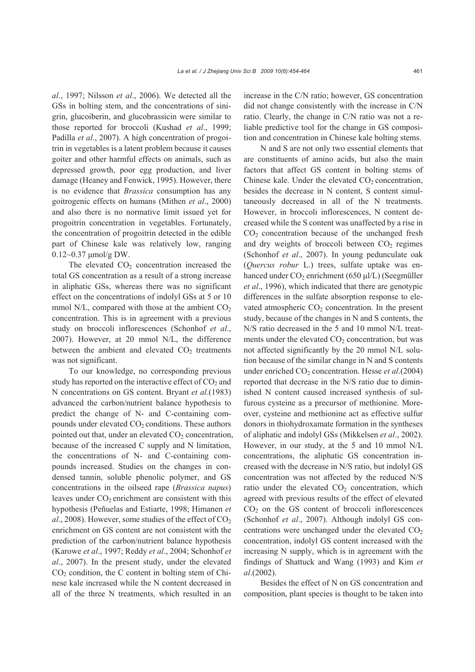*al*., 1997; Nilsson *et al*., 2006). We detected all the GSs in bolting stem, and the concentrations of sinigrin, glucoiberin, and glucobrassicin were similar to those reported for broccoli (Kushad *et al*., 1999; Padilla *et al*., 2007). A high concentration of progoitrin in vegetables is a latent problem because it causes goiter and other harmful effects on animals, such as depressed growth, poor egg production, and liver damage (Heaney and Fenwick, 1995). However, there is no evidence that *Brassica* consumption has any goitrogenic effects on humans (Mithen *et al*., 2000) and also there is no normative limit issued yet for progoitrin concentration in vegetables. Fortunately, the concentration of progoitrin detected in the edible part of Chinese kale was relatively low, ranging 0.12~0.37 μmol/g DW.

The elevated  $CO<sub>2</sub>$  concentration increased the total GS concentration as a result of a strong increase in aliphatic GSs, whereas there was no significant effect on the concentrations of indolyl GSs at 5 or 10 mmol N/L, compared with those at the ambient  $CO<sub>2</sub>$ concentration. This is in agreement with a previous study on broccoli inflorescences (Schonhof *et al*., 2007). However, at 20 mmol N/L, the difference between the ambient and elevated  $CO<sub>2</sub>$  treatments was not significant.

To our knowledge, no corresponding previous study has reported on the interactive effect of  $CO<sub>2</sub>$  and N concentrations on GS content. Bryant *et al*.(1983) advanced the carbon/nutrient balance hypothesis to predict the change of N- and C-containing compounds under elevated  $CO<sub>2</sub>$  conditions. These authors pointed out that, under an elevated  $CO<sub>2</sub>$  concentration, because of the increased C supply and N limitation, the concentrations of N- and C-containing compounds increased. Studies on the changes in condensed tannin, soluble phenolic polymer, and GS concentrations in the oilseed rape (*Brassica napus*) leaves under  $CO<sub>2</sub>$  enrichment are consistent with this hypothesis (Peñuelas and Estiarte, 1998; Himanen *et*   $al$ , 2008). However, some studies of the effect of  $CO<sub>2</sub>$ enrichment on GS content are not consistent with the prediction of the carbon/nutrient balance hypothesis (Karowe *et al*., 1997; Reddy *et al*., 2004; Schonhof *et al*., 2007). In the present study, under the elevated  $CO<sub>2</sub>$  condition, the C content in bolting stem of Chinese kale increased while the N content decreased in all of the three N treatments, which resulted in an

increase in the C/N ratio; however, GS concentration did not change consistently with the increase in C/N ratio. Clearly, the change in C/N ratio was not a reliable predictive tool for the change in GS composition and concentration in Chinese kale bolting stems.

N and S are not only two essential elements that are constituents of amino acids, but also the main factors that affect GS content in bolting stems of Chinese kale. Under the elevated  $CO<sub>2</sub>$  concentration, besides the decrease in N content, S content simultaneously decreased in all of the N treatments. However, in broccoli inflorescences, N content decreased while the S content was unaffected by a rise in CO2 concentration because of the unchanged fresh and dry weights of broccoli between  $CO<sub>2</sub>$  regimes (Schonhof *et al*., 2007). In young pedunculate oak (*Quercus robur* L.) trees, sulfate uptake was enhanced under  $CO<sub>2</sub>$  enrichment (650 μl/L) (Seegmüller *et al*., 1996), which indicated that there are genotypic differences in the sulfate absorption response to elevated atmospheric  $CO<sub>2</sub>$  concentration. In the present study, because of the changes in N and S contents, the N/S ratio decreased in the 5 and 10 mmol N/L treatments under the elevated  $CO<sub>2</sub>$  concentration, but was not affected significantly by the 20 mmol N/L solution because of the similar change in N and S contents under enriched CO2 concentration. Hesse *et al*.(2004) reported that decrease in the N/S ratio due to diminished N content caused increased synthesis of sulfurous cysteine as a precursor of methionine. Moreover, cysteine and methionine act as effective sulfur donors in thiohydroxamate formation in the syntheses of aliphatic and indolyl GSs (Mikkelsen *et al*., 2002). However, in our study, at the 5 and 10 mmol N/L concentrations, the aliphatic GS concentration increased with the decrease in N/S ratio, but indolyl GS concentration was not affected by the reduced N/S ratio under the elevated  $CO<sub>2</sub>$  concentration, which agreed with previous results of the effect of elevated  $CO<sub>2</sub>$  on the GS content of broccoli inflorescences (Schonhof *et al*., 2007). Although indolyl GS concentrations were unchanged under the elevated  $CO<sub>2</sub>$ concentration, indolyl GS content increased with the increasing N supply, which is in agreement with the findings of Shattuck and Wang (1993) and Kim *et al*.(2002).

Besides the effect of N on GS concentration and composition, plant species is thought to be taken into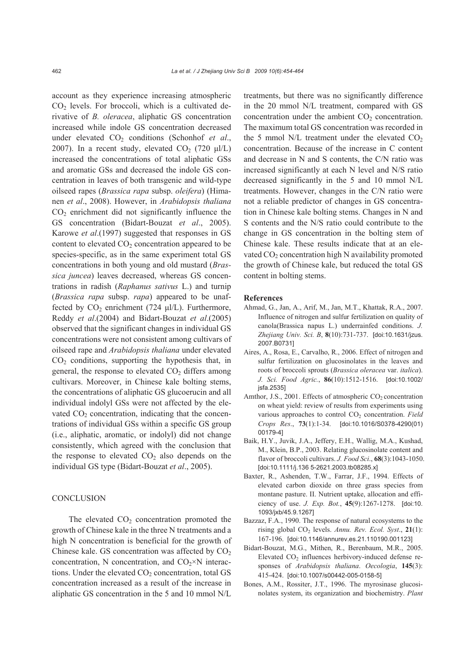account as they experience increasing atmospheric  $CO<sub>2</sub>$  levels. For broccoli, which is a cultivated derivative of *B. oleracea*, aliphatic GS concentration increased while indole GS concentration decreased under elevated CO<sub>2</sub> conditions (Schonhof *et al.*, 2007). In a recent study, elevated  $CO_2$  (720 μl/L) increased the concentrations of total aliphatic GSs and aromatic GSs and decreased the indole GS concentration in leaves of both transgenic and wild-type oilseed rapes (*Brassica rapa* subsp. *oleifera*) (Himanen *et al*., 2008). However, in *Arabidopsis thaliana*  $CO<sub>2</sub>$  enrichment did not significantly influence the GS concentration (Bidart-Bouzat *et al*., 2005). Karowe *et al*.(1997) suggested that responses in GS content to elevated  $CO<sub>2</sub>$  concentration appeared to be species-specific, as in the same experiment total GS concentrations in both young and old mustard (*Brassica juncea*) leaves decreased, whereas GS concentrations in radish (*Raphanus sativus* L.) and turnip (*Brassica rapa* subsp. *rapa*) appeared to be unaffected by  $CO_2$  enrichment (724 μl/L). Furthermore, Reddy *et al*.(2004) and Bidart-Bouzat *et al*.(2005) observed that the significant changes in individual GS concentrations were not consistent among cultivars of oilseed rape and *Arabidopsis thaliana* under elevated  $CO<sub>2</sub>$  conditions, supporting the hypothesis that, in general, the response to elevated  $CO<sub>2</sub>$  differs among cultivars. Moreover, in Chinese kale bolting stems, the concentrations of aliphatic GS glucoerucin and all individual indolyl GSs were not affected by the elevated  $CO<sub>2</sub>$  concentration, indicating that the concentrations of individual GSs within a specific GS group (i.e., aliphatic, aromatic, or indolyl) did not change consistently, which agreed with the conclusion that the response to elevated  $CO<sub>2</sub>$  also depends on the individual GS type (Bidart-Bouzat *et al*., 2005).

## **CONCLUSION**

The elevated  $CO<sub>2</sub>$  concentration promoted the growth of Chinese kale in the three N treatments and a high N concentration is beneficial for the growth of Chinese kale. GS concentration was affected by  $CO<sub>2</sub>$ concentration, N concentration, and  $CO<sub>2</sub>×N$  interactions. Under the elevated  $CO<sub>2</sub>$  concentration, total GS concentration increased as a result of the increase in aliphatic GS concentration in the 5 and 10 mmol N/L treatments, but there was no significantly difference in the 20 mmol N/L treatment, compared with GS concentration under the ambient  $CO<sub>2</sub>$  concentration. The maximum total GS concentration was recorded in the 5 mmol N/L treatment under the elevated  $CO<sub>2</sub>$ concentration. Because of the increase in C content and decrease in N and S contents, the C/N ratio was increased significantly at each N level and N/S ratio decreased significantly in the 5 and 10 mmol N/L treatments. However, changes in the C/N ratio were not a reliable predictor of changes in GS concentration in Chinese kale bolting stems. Changes in N and S contents and the N/S ratio could contribute to the change in GS concentration in the bolting stem of Chinese kale. These results indicate that at an elevated  $CO<sub>2</sub>$  concentration high N availability promoted the growth of Chinese kale, but reduced the total GS content in bolting stems.

#### **References**

- Ahmad, G., Jan, A., Arif, M., Jan, M.T., Khattak, R.A., 2007. Influence of nitrogen and sulfur fertilization on quality of canola(Brassica napus L.) underrainfed conditions. *J. Zhejiang Univ. Sci. B*, **8**(10):731-737. [doi:10.1631/jzus. 2007.B0731]
- Aires, A., Rosa, E., Carvalho, R., 2006. Effect of nitrogen and sulfur fertilization on glucosinolates in the leaves and roots of broccoli sprouts (*Brassica oleracea* var. *italica*). *J. Sci. Food Agric.*, **86**(10):1512-1516. [doi:10.1002/ jsfa.2535]
- Amthor, J.S., 2001. Effects of atmospheric  $CO<sub>2</sub>$  concentration on wheat yield: review of results from experiments using various approaches to control CO<sub>2</sub> concentration. *Field Crops Res*., **73**(1):1-34. [doi:10.1016/S0378-4290(01) 00179-4]
- Baik, H.Y., Juvik, J.A., Jeffery, E.H., Wallig, M.A., Kushad, M., Klein, B.P., 2003. Relating glucosinolate content and flavor of broccoli cultivars. *J. Food Sci*., **68**(3):1043-1050. [doi:10.1111/j.136 5-2621.2003.tb08285.x]
- Baxter, R., Ashenden, T.W., Farrar, J.F., 1994. Effects of elevated carbon dioxide on three grass species from montane pasture. II. Nutrient uptake, allocation and efficiency of use. *J. Exp. Bot.*, **45**(9):1267-1278. [doi:10. 1093/jxb/45.9.1267]
- Bazzaz, F.A., 1990. The response of natural ecosystems to the rising global CO<sub>2</sub> levels. *Annu. Rev. Ecol. Syst.*, 21(1): 167-196. [doi:10.1146/annurev.es.21.110190.001123]
- Bidart-Bouzat, M.G., Mithen, R., Berenbaum, M.R., 2005. Elevated  $CO<sub>2</sub>$  influences herbivory-induced defense responses of *Arabidopsis thaliana*. *Oecologia*, **145**(3): 415-424. [doi:10.1007/s00442-005-0158-5]
- Bones, A.M., Rossiter, J.T., 1996. The myrosinase glucosinolates system, its organization and biochemistry. *Plant*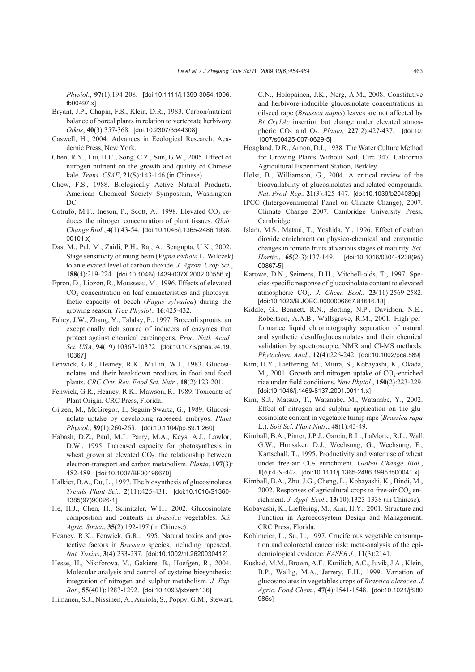*Physiol*., **97**(1):194-208. [doi:10.1111/j.1399-3054.1996. tb00497.x]

- Bryant, J.P., Chapin, F.S., Klein, D.R., 1983. Carbon/nutrient balance of boreal plants in relation to vertebrate herbivory. *Oikos*, **40**(3):357-368. [doi:10.2307/3544308]
- Caswell, H., 2004. Advances in Ecological Research. Academic Press, New York.
- Chen, R.Y., Liu, H.C., Song, C.Z., Sun, G.W., 2005. Effect of nitrogen nutrient on the growth and quality of Chinese kale. *Trans. CSAE*, **21**(S):143-146 (in Chinese).
- Chew, F.S., 1988. Biologically Active Natural Products. American Chemical Society Symposium, Washington DC.
- Cotrufo, M.F., Ineson, P., Scott, A., 1998. Elevated  $CO<sub>2</sub>$  reduces the nitrogen concentration of plant tissues. *Glob. Change Biol*., **4**(1):43-54. [doi:10.1046/j.1365-2486.1998. 00101.x]
- Das, M., Pal, M., Zaidi, P.H., Raj, A., Sengupta, U.K., 2002. Stage sensitivity of mung bean (*Vigna radiata* L. Wilczek) to an elevated level of carbon dioxide. *J. Agron. Crop Sci*., **188**(4):219-224. [doi:10.1046/j.1439-037X.2002.00556.x]
- Epron, D., Liozon, R., Mousseau, M., 1996. Effects of elevated  $CO<sub>2</sub>$  concentration on leaf characteristics and photosynthetic capacity of beech (*Fagus sylvatica*) during the growing season. *Tree Physiol*., **16**:425-432.
- Fahey, J.W., Zhang, Y., Talalay, P., 1997. Broccoli sprouts: an exceptionally rich source of inducers of enzymes that protect against chemical carcinogens. *Proc. Natl. Acad. Sci. USA*, **94**(19):10367-10372. [doi:10.1073/pnas.94.19. 10367]
- Fenwick, G.R., Heaney, R.K., Mullin, W.J., 1983. Glucosinolates and their breakdown products in food and food plants. *CRC Crit. Rev. Food Sci. Nutr.*, **18**(2):123-201.
- Fenwick, G.R., Heaney, R.K., Mawson, R., 1989. Toxicants of Plant Origin. CRC Press, Florida.
- Gijzen, M., McGregor, I., Seguin-Swartz, G., 1989. Glucosinolate uptake by developing rapeseed embryos. *Plant Physiol.*, **89**(1):260-263. [doi:10.1104/pp.89.1.260]
- Habash, D.Z., Paul, M.J., Parry, M.A., Keys, A.J., Lawlor, D.W., 1995. Increased capacity for photosynthesis in wheat grown at elevated  $CO<sub>2</sub>$ : the relationship between electron-transport and carbon metabolism. *Planta*, **197**(3): 482-489. [doi:10.1007/BF00196670]
- Halkier, B.A., Du, L., 1997. The biosynthesis of glucosinolates. *Trends Plant Sci.*, **2**(11):425-431. [doi:10.1016/S1360- 1385(97)90026-1]
- He, H.J., Chen, H., Schnitzler, W.H., 2002. Glucosinolate composition and contents in *Brassica* vegetables. *Sci. Agric. Sinica*, **35**(2):192-197 (in Chinese).
- Heaney, R.K., Fenwick, G.R., 1995. Natural toxins and protective factors in *Brassica* species, including rapeseed. *Nat. Toxins*, **3**(4):233-237. [doi:10.1002/nt.2620030412]
- Hesse, H., Nikiforova, V., Gakiere, B., Hoefgen, R., 2004. Molecular analysis and control of cysteine biosynthesis: integration of nitrogen and sulphur metabolism. *J. Exp. Bot*., **55**(401):1283-1292. [doi:10.1093/jxb/erh136]

Himanen, S.J., Nissinen, A., Auriola, S., Poppy, G.M., Stewart,

C.N., Holopainen, J.K., Nerg, A.M., 2008. Constitutive and herbivore-inducible glucosinolate concentrations in oilseed rape (*Brassica napus*) leaves are not affected by *Bt Cry1Ac* insertion but change under elevated atmospheric CO2 and O3. *Planta*, **227**(2):427-437. [doi:10. 1007/s00425-007-0629-5]

- Hoagland, D.R., Arnon, D.I., 1938. The Water Culture Method for Growing Plants Without Soil, Circ 347. California Agricultural Experiment Station, Berkley.
- Holst, B., Williamson, G., 2004. A critical review of the bioavailability of glucosinolates and related compounds. *Nat. Prod. Rep*., **21**(3):425-447. [doi:10.1039/b204039p]
- IPCC (Intergovernmental Panel on Climate Change), 2007. Climate Change 2007. Cambridge University Press, Cambridge.
- Islam, M.S., Matsui, T., Yoshida, Y., 1996. Effect of carbon dioxide enrichment on physico-chemical and enzymatic changes in tomato fruits at various stages of maturity. *Sci. Hortic.*, **65**(2-3):137-149. [doi:10.1016/0304-4238(95) 00867-5]
- Karowe, D.N., Seimens, D.H., Mitchell-olds, T., 1997. Species-specific response of glucosinolate content to elevated atmospheric CO2. *J. Chem. Ecol.*, **23**(11):2569-2582. [doi:10.1023/B:JOEC.0000006667.81616.18]
- Kiddle, G., Bennett, R.N., Botting, N.P., Davidson, N.E., Robertson, A.A.B., Wallsgrove, R.M., 2001. High performance liquid chromatography separation of natural and synthetic desulfoglucosinolates and their chemical validation by spectroscopic, NMR and CI-MS methods. *Phytochem. Anal.*, **12**(4):226-242. [doi:10.1002/pca.589]
- Kim, H.Y., Lieffering, M., Miura, S., Kobayashi, K., Okada, M., 2001. Growth and nitrogen uptake of  $CO<sub>2</sub>$ -enriched rice under field conditions. *New Phytol.*, **150**(2):223-229. [doi:10.1046/j.1469-8137.2001.00111.x]
- Kim, S.J., Matsuo, T., Watanabe, M., Watanabe, Y., 2002. Effect of nitrogen and sulphur application on the glucosinolate content in vegetable turnip rape (*Brassica rapa*  L.). *Soil Sci. Plant Nutr.*, **48**(1):43-49.
- Kimball, B.A., Pinter, J.P.J., Garcia, R.L., LaMorte, R.L., Wall, G.W., Hunsaker, D.J., Wechsung, G., Wechsung, F., Kartschall, T., 1995. Productivity and water use of wheat under free-air CO<sub>2</sub> enrichment. Global Change Biol., **1**(6):429-442. [doi:10.1111/j.1365-2486.1995.tb00041.x]
- Kimball, B.A., Zhu, J.G., Cheng, L., Kobayashi, K., Bindi, M., 2002. Responses of agricultural crops to free-air  $CO<sub>2</sub>$  enrichment. *J. Appl. Ecol.*, **13**(10):1323-1338 (in Chinese).
- Kobayashi, K., Lieffering, M., Kim, H.Y., 2001. Structure and Function in Agroecosystem Design and Management. CRC Press, Florida.
- Kohlmeier, L., Su, L., 1997. Cruciferous vegetable consumption and colorectal cancer risk: meta-analysis of the epidemiological evidence. *FASEB J.*, **11**(3):2141.
- Kushad, M.M., Brown, A.F., Kurilich, A.C., Juvik, J.A., Klein, B.P., Wallig, M.A., Jerrery, E.H., 1999. Variation of glucosinolates in vegetables crops of *Brassica oleracea*. *J. Agric. Food Chem.*, **47**(4):1541-1548. [doi:10.1021/jf980 985s]